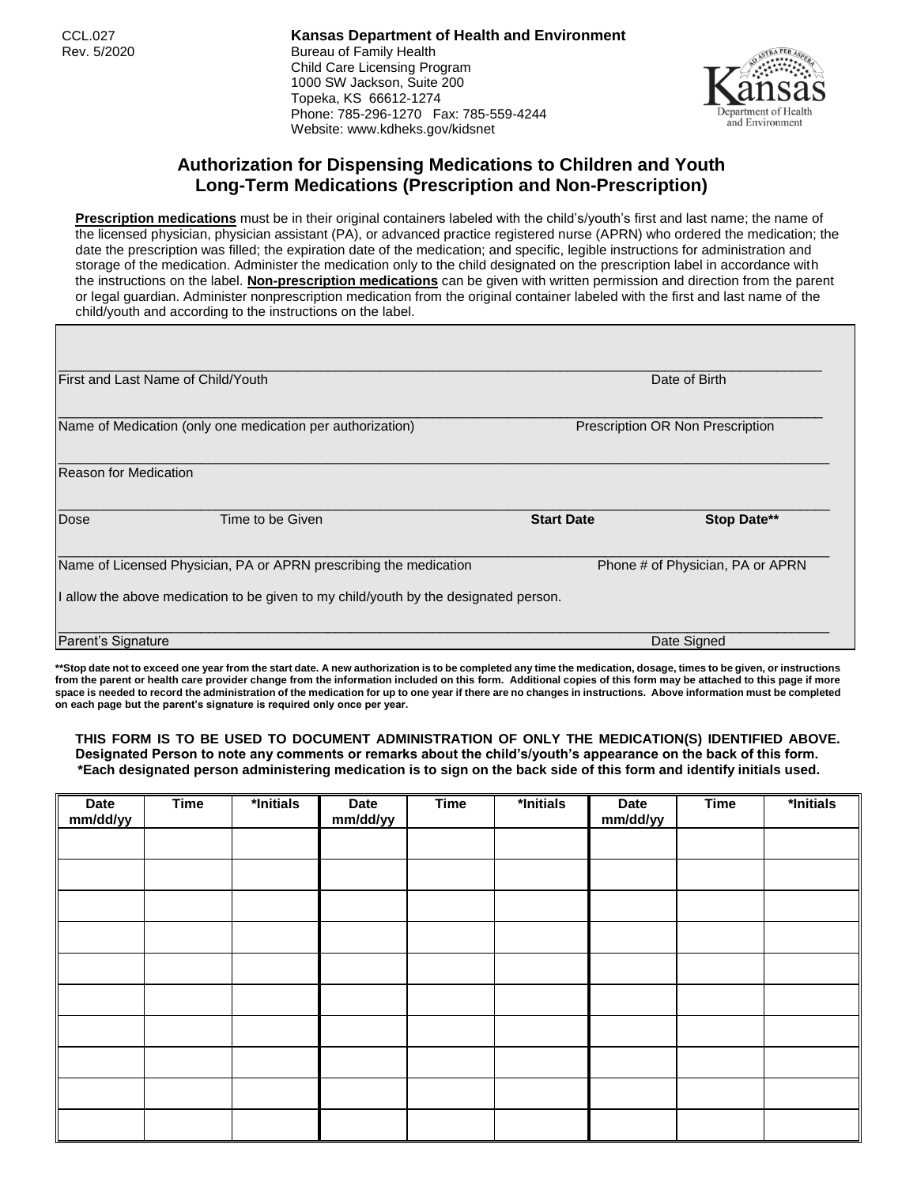CCL.027 **Kansas Department of Health and Environment** Rev. 5/2020 **Bureau of Family Health** Child Care Licensing Program 1000 SW Jackson, Suite 200 Topeka, KS 66612-1274 Phone: 785-296-1270 Fax: 785-559-4244 Website: www.kdheks.gov/kidsnet



## **Authorization for Dispensing Medications to Children and Youth Long-Term Medications (Prescription and Non-Prescription)**

**Prescription medications** must be in their original containers labeled with the child's/youth's first and last name; the name of the licensed physician, physician assistant (PA), or advanced practice registered nurse (APRN) who ordered the medication; the date the prescription was filled; the expiration date of the medication; and specific, legible instructions for administration and storage of the medication. Administer the medication only to the child designated on the prescription label in accordance with the instructions on the label. **Non-prescription medications** can be given with written permission and direction from the parent or legal guardian. Administer nonprescription medication from the original container labeled with the first and last name of the child/youth and according to the instructions on the label.

| <b>First and Last Name of Child/Youth</b>                         |                                                                                    |                   | Date of Birth                    |  |  |
|-------------------------------------------------------------------|------------------------------------------------------------------------------------|-------------------|----------------------------------|--|--|
|                                                                   | Name of Medication (only one medication per authorization)                         |                   | Prescription OR Non Prescription |  |  |
| Reason for Medication                                             |                                                                                    |                   |                                  |  |  |
| Dose                                                              | Time to be Given                                                                   | <b>Start Date</b> | Stop Date**                      |  |  |
| Name of Licensed Physician, PA or APRN prescribing the medication |                                                                                    |                   | Phone # of Physician, PA or APRN |  |  |
|                                                                   | allow the above medication to be given to my child/youth by the designated person. |                   |                                  |  |  |
| Parent's Signature                                                |                                                                                    |                   | Date Signed                      |  |  |

**\*\*Stop date not to exceed one year from the start date. A new authorization is to be completed any time the medication, dosage, times to be given, or instructions from the parent or health care provider change from the information included on this form. Additional copies of this form may be attached to this page if more space is needed to record the administration of the medication for up to one year if there are no changes in instructions. Above information must be completed on each page but the parent's signature is required only once per year.**

## **THIS FORM IS TO BE USED TO DOCUMENT ADMINISTRATION OF ONLY THE MEDICATION(S) IDENTIFIED ABOVE. Designated Person to note any comments or remarks about the child's/youth's appearance on the back of this form. \*Each designated person administering medication is to sign on the back side of this form and identify initials used.**

| Date<br>mm/dd/yy | <b>Time</b> | *Initials | <b>Date</b><br>mm/dd/yy | <b>Time</b> | *Initials | <b>Date</b><br>mm/dd/yy | <b>Time</b> | *Initials |
|------------------|-------------|-----------|-------------------------|-------------|-----------|-------------------------|-------------|-----------|
|                  |             |           |                         |             |           |                         |             |           |
|                  |             |           |                         |             |           |                         |             |           |
|                  |             |           |                         |             |           |                         |             |           |
|                  |             |           |                         |             |           |                         |             |           |
|                  |             |           |                         |             |           |                         |             |           |
|                  |             |           |                         |             |           |                         |             |           |
|                  |             |           |                         |             |           |                         |             |           |
|                  |             |           |                         |             |           |                         |             |           |
|                  |             |           |                         |             |           |                         |             |           |
|                  |             |           |                         |             |           |                         |             |           |